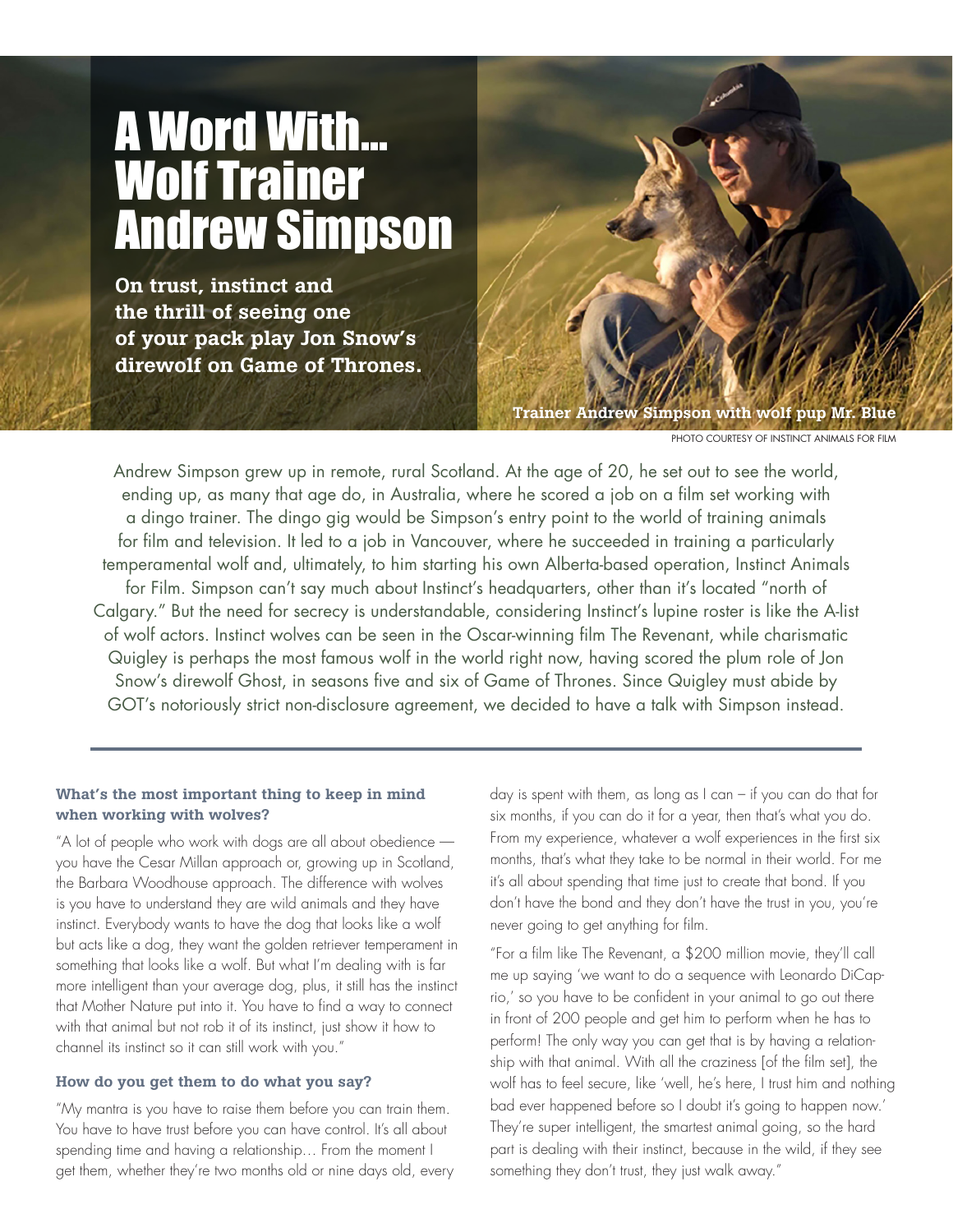# A Word With... Wolf Trainer Andrew Simpson

On trust, instinct and the thrill of seeing one of your pack play Jon Snow's direwolf on Game of Thrones.



PHOTO COURTESY OF INSTINCT ANIMALS FOR FILM

Andrew Simpson grew up in remote, rural Scotland. At the age of 20, he set out to see the world, ending up, as many that age do, in Australia, where he scored a job on a film set working with a dingo trainer. The dingo gig would be Simpson's entry point to the world of training animals for film and television. It led to a job in Vancouver, where he succeeded in training a particularly temperamental wolf and, ultimately, to him starting his own Alberta-based operation, Instinct Animals for Film. Simpson can't say much about Instinct's headquarters, other than it's located "north of Calgary." But the need for secrecy is understandable, considering Instinct's lupine roster is like the A-list of wolf actors. Instinct wolves can be seen in the Oscar-winning film The Revenant, while charismatic Quigley is perhaps the most famous wolf in the world right now, having scored the plum role of Jon Snow's direwolf Ghost, in seasons five and six of Game of Thrones. Since Quigley must abide by GOT's notoriously strict non-disclosure agreement, we decided to have a talk with Simpson instead.

# What's the most important thing to keep in mind when working with wolves?

"A lot of people who work with dogs are all about obedience you have the Cesar Millan approach or, growing up in Scotland, the Barbara Woodhouse approach. The difference with wolves is you have to understand they are wild animals and they have instinct. Everybody wants to have the dog that looks like a wolf but acts like a dog, they want the golden retriever temperament in something that looks like a wolf. But what I'm dealing with is far more intelligent than your average dog, plus, it still has the instinct that Mother Nature put into it. You have to find a way to connect with that animal but not rob it of its instinct, just show it how to channel its instinct so it can still work with you."

# How do you get them to do what you say?

"My mantra is you have to raise them before you can train them. You have to have trust before you can have control. It's all about spending time and having a relationship… From the moment I get them, whether they're two months old or nine days old, every day is spent with them, as long as  $l$  can – if you can do that for six months, if you can do it for a year, then that's what you do. From my experience, whatever a wolf experiences in the first six months, that's what they take to be normal in their world. For me it's all about spending that time just to create that bond. If you don't have the bond and they don't have the trust in you, you're never going to get anything for film.

"For a film like The Revenant, a \$200 million movie, they'll call me up saying 'we want to do a sequence with Leonardo DiCaprio,' so you have to be confident in your animal to go out there in front of 200 people and get him to perform when he has to perform! The only way you can get that is by having a relationship with that animal. With all the craziness [of the film set], the wolf has to feel secure, like 'well, he's here, I trust him and nothing bad ever happened before so I doubt it's going to happen now.' They're super intelligent, the smartest animal going, so the hard part is dealing with their instinct, because in the wild, if they see something they don't trust, they just walk away."